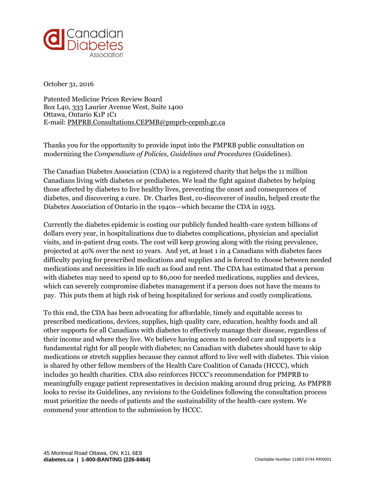

October 31, 2016

Patented Medicine Prices Review Board Box L40, 333 Laurier Avenue West, Suite 1400 Ottawa, Ontario K1P 1C1 E-mail: [PMPRB.Consultations.CEPMB@pmprb-cepmb.gc.ca](mailto:PMPRB.Consultations.CEPMB@pmprb-cepmb.gc.ca)

Thanks you for the opportunity to provide input into the PMPRB public consultation on modernizing the *Compendium of Policies, Guidelines and Procedures* (Guidelines).

The Canadian Diabetes Association (CDA) is a registered charity that helps the 11 million Canadians living with diabetes or prediabetes. We lead the fight against diabetes by helping those affected by diabetes to live healthy lives, preventing the onset and consequences of diabetes, and discovering a cure. Dr. Charles Best, co-discoverer of insulin, helped create the Diabetes Association of Ontario in the 1940s—which became the CDA in 1953.

Currently the diabetes epidemic is costing our publicly funded health-care system billions of dollars every year, in hospitalizations due to diabetes complications, physician and specialist visits, and in-patient drug costs. The cost will keep growing along with the rising prevalence, projected at 40% over the next 10 years. And yet, at least 1 in 4 Canadians with diabetes faces difficulty paying for prescribed medications and supplies and is forced to choose between needed medications and necessities in life such as food and rent. The CDA has estimated that a person with diabetes may need to spend up to \$6,000 for needed medications, supplies and devices, which can severely compromise diabetes management if a person does not have the means to pay. This puts them at high risk of being hospitalized for serious and costly complications.

To this end, the CDA has been advocating for affordable, timely and equitable access to prescribed medications, devices, supplies, high quality care, education, healthy foods and all other supports for all Canadians with diabetes to effectively manage their disease, regardless of their income and where they live. We believe having access to needed care and supports is a fundamental right for all people with diabetes; no Canadian with diabetes should have to skip medications or stretch supplies because they cannot afford to live well with diabetes. This vision is shared by other fellow members of the Health Care Coalition of Canada (HCCC), which includes 30 health charities. CDA also reinforces HCCC's recommendation for PMPRB to meaningfully engage patient representatives in decision making around drug pricing. As PMPRB looks to revise its Guidelines, any revisions to the Guidelines following the consultation process must prioritize the needs of patients and the sustainability of the health-care system. We commend your attention to the submission by HCCC.